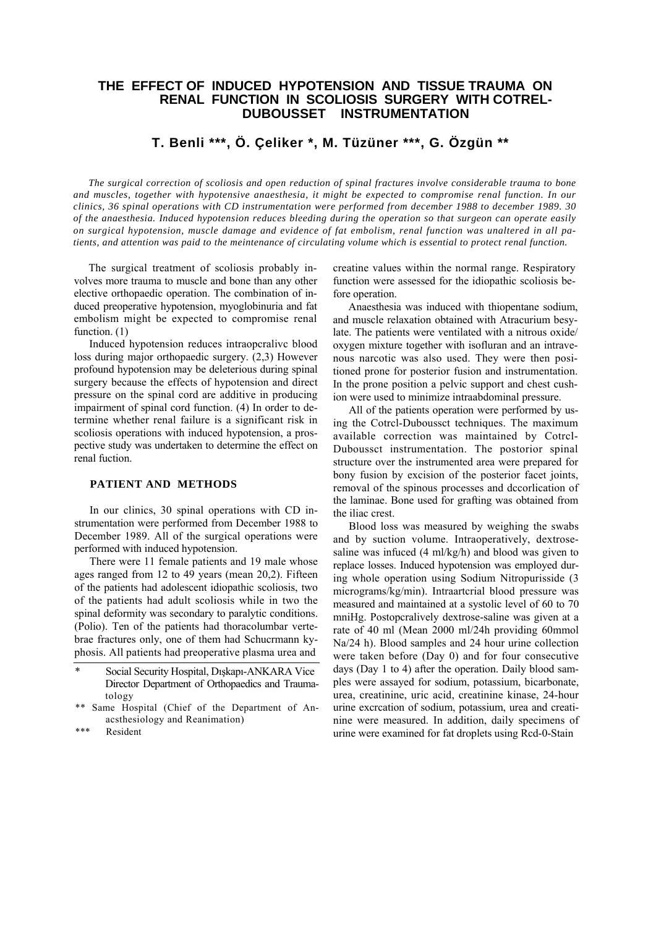# **THE EFFECT OF INDUCED HYPOTENSION AND TISSUE TRAUMA ON RENAL FUNCTION IN SCOLIOSIS SURGERY WITH COTREL-DUBOUSSET INSTRUMENTATION**

# **T. Benli \*\*\*, Ö. Çeliker \*, M. Tüzüner \*\*\*, G. Özgün \*\***

*The surgical correction of scoliosis and open reduction of spinal fractures involve considerable trauma to bone and muscles, together with hypotensive anaesthesia, it might be expected to compromise renal function. In our clinics, 36 spinal operations with CD instrumentation were performed from december 1988 to december 1989. 30 of the anaesthesia. Induced hypotension reduces bleeding during the operation so that surgeon can operate easily on surgical hypotension, muscle damage and evidence of fat embolism, renal function was unaltered in all patients, and attention was paid to the meintenance of circulating volume which is essential to protect renal function.*

The surgical treatment of scoliosis probably involves more trauma to muscle and bone than any other elective orthopaedic operation. The combination of induced preoperative hypotension, myoglobinuria and fat embolism might be expected to compromise renal function. (1)

Induced hypotension reduces intraopcralivc blood loss during major orthopaedic surgery. (2,3) However profound hypotension may be deleterious during spinal surgery because the effects of hypotension and direct pressure on the spinal cord are additive in producing impairment of spinal cord function. (4) In order to determine whether renal failure is a significant risk in scoliosis operations with induced hypotension, a prospective study was undertaken to determine the effect on renal fuction.

## **PATIENT AND METHODS**

In our clinics, 30 spinal operations with CD instrumentation were performed from December 1988 to December 1989. All of the surgical operations were performed with induced hypotension.

There were 11 female patients and 19 male whose ages ranged from 12 to 49 years (mean 20,2). Fifteen of the patients had adolescent idiopathic scoliosis, two of the patients had adult scoliosis while in two the spinal deformity was secondary to paralytic conditions. (Polio). Ten of the patients had thoracolumbar vertebrae fractures only, one of them had Schucrmann kyphosis. All patients had preoperative plasma urea and

- \*\* Same Hospital (Chief of the Department of Anacsthesiology and Reanimation)
- \*\*\* Resident

creatine values within the normal range. Respiratory function were assessed for the idiopathic scoliosis before operation.

Anaesthesia was induced with thiopentane sodium, and muscle relaxation obtained with Atracurium besylate. The patients were ventilated with a nitrous oxide/ oxygen mixture together with isofluran and an intravenous narcotic was also used. They were then positioned prone for posterior fusion and instrumentation. In the prone position a pelvic support and chest cushion were used to minimize intraabdominal pressure.

All of the patients operation were performed by using the Cotrcl-Duboussct techniques. The maximum available correction was maintained by Cotrcl-Duboussct instrumentation. The postorior spinal structure over the instrumented area were prepared for bony fusion by excision of the posterior facet joints, removal of the spinous processes and dccorlication of the laminae. Bone used for grafting was obtained from the iliac crest.

Blood loss was measured by weighing the swabs and by suction volume. Intraoperatively, dextrosesaline was infuced (4 ml/kg/h) and blood was given to replace losses. Induced hypotension was employed during whole operation using Sodium Nitropurisside (3 micrograms/kg/min). Intraartcrial blood pressure was measured and maintained at a systolic level of 60 to 70 mniHg. Postopcralively dextrose-saline was given at a rate of 40 ml (Mean 2000 ml/24h providing 60mmol Na/24 h). Blood samples and 24 hour urine collection were taken before (Day 0) and for four consecutive days (Day 1 to 4) after the operation. Daily blood samples were assayed for sodium, potassium, bicarbonate, urea, creatinine, uric acid, creatinine kinase, 24-hour urine excrcation of sodium, potassium, urea and creatinine were measured. In addition, daily specimens of urine were examined for fat droplets using Rcd-0-Stain

<sup>\*</sup> Social Security Hospital, Dışkapı-ANKARA Vice Director Department of Orthopaedics and Traumatology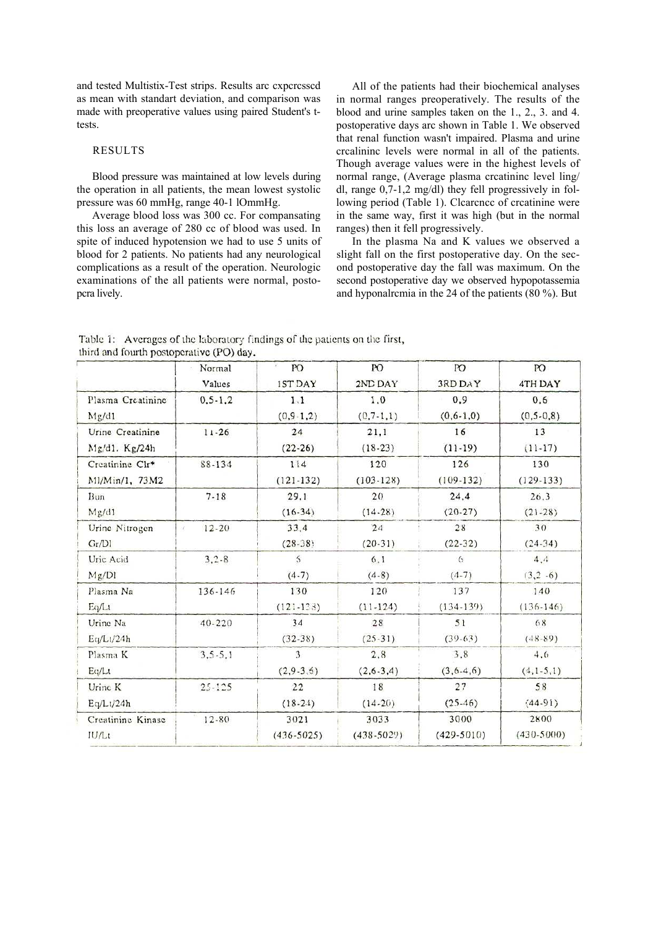and tested Multistix-Test strips. Results arc cxpcrcsscd as mean with standart deviation, and comparison was made with preoperative values using paired Student's ttests.

#### RESULTS

Blood pressure was maintained at low levels during the operation in all patients, the mean lowest systolic pressure was 60 mmHg, range 40-1 lOmmHg.

Average blood loss was 300 cc. For compansating this loss an average of 280 cc of blood was used. In spite of induced hypotension we had to use 5 units of blood for 2 patients. No patients had any neurological complications as a result of the operation. Neurologic examinations of the all patients were normal, postopcra lively.

All of the patients had their biochemical analyses in normal ranges preoperatively. The results of the blood and urine samples taken on the 1., 2., 3. and 4. postoperative days arc shown in Table 1. We observed that renal function wasn't impaired. Plasma and urine crcalininc levels were normal in all of the patients. Though average values were in the highest levels of normal range, (Average plasma crcatininc level ling/ dl, range 0,7-1,2 mg/dl) they fell progressively in following period (Table 1). Clcarcncc of crcatinine were in the same way, first it was high (but in the normal ranges) then it fell progressively.

In the plasma Na and K values we observed a slight fall on the first postoperative day. On the second postoperative day the fall was maximum. On the second postoperative day we observed hypopotassemia and hyponalrcmia in the 24 of the patients (80 %). But

Table 1: Averages of the laboratory findings of the patients on the first, third and fourth postoperative (PO) day.

|                   | Normal        | PO                      | PO             | PO              | <b>PO</b>       |
|-------------------|---------------|-------------------------|----------------|-----------------|-----------------|
|                   | Values        | <b>1ST DAY</b>          | 2ND DAY        | <b>3RD DAY</b>  | 4TH DAY         |
| Plasma Creatinine | $0, 5 - 1, 2$ | 1,1                     | 1,0            | 0,9             | 0, 6            |
| Mg/d1             |               | $(0, 9 - 1, 2)$         | $(0, 7-1, 1)$  | $(0, 6 - 1, 0)$ | $(0, 5 - 0, 8)$ |
| Urine Creatinine  | $11 - 26$     | 24                      | 21,1           | 16              | 13              |
| Mg/d1. Kg/24h     |               | $(22-26)$               | $(18-23)$      | $(11-19)$       | $(11-17)$       |
| Creatinine Clr*   | 88-134        | 114                     | 120            | 126             | 130             |
| M1/Min/1, 73M2    |               | $(121-132)$             | $(103-128)$    | $(109-132)$     | $(129-133)$     |
| Bun               | $7 - 18$      | 29,1                    | 20             | 24,4            | 26,3            |
| Mg/d1             |               | $(16-34)$               | $(14-28)$      | $(20-27)$       | $(21-28)$       |
| Urine Nitrogen    | $12 - 20$     | 33.4                    | 24             | 28              | 30              |
| Gr/D1             | X.            | $(28-38)$               | $(20-31)$      | $(22-32)$       | $(24-34)$       |
| Uric Acid         | $3, 2 - 8$    | 5                       | 6.1            | 6               | 4,4             |
| Mg/D1             |               | $(4-7)$                 | $(4-8)$        | $(4-7)$         | $(3, 2, -6)$    |
| Plasma Na         | 136-146       | 130                     | 120            | 137             | 140             |
| Eq/Lt             |               | $(121 - 138)$           | $(11-124)$     | $(134-139)$     | $(136-146)$     |
| Urine Na          | $40 - 220$    | 34                      | 28             | 51              | 68              |
| Eq/Lt/24h         |               | $(32-38)$               | $(25-31)$      | $(39-63)$       | $(48-89)$       |
| Plasma K          | $3, 5 - 5, 1$ | $\overline{\mathbf{3}}$ | 2,8            | 3,8             | 4,6             |
| Eq/Lt             |               | $(2,9-3,6)$             | $(2,6-3,4)$    | $(3,6-4,6)$     | $(4, 1-5, 1)$   |
| Urine K           | $25 - 125$    | 22                      | 18             | 27              | 58              |
| Eq/Lt/24h         |               | $(18-24)$               | $(14-20)$      | $(25-46)$       | $(44-91)$       |
| Creatinine Kinase | $12 - 80$     | 3021                    | 3033           | 3000            | 2800            |
| IU/Lt             |               | $(436 - 5025)$          | $(438 - 5029)$ | $(429-5010)$    | $(430 - 5000)$  |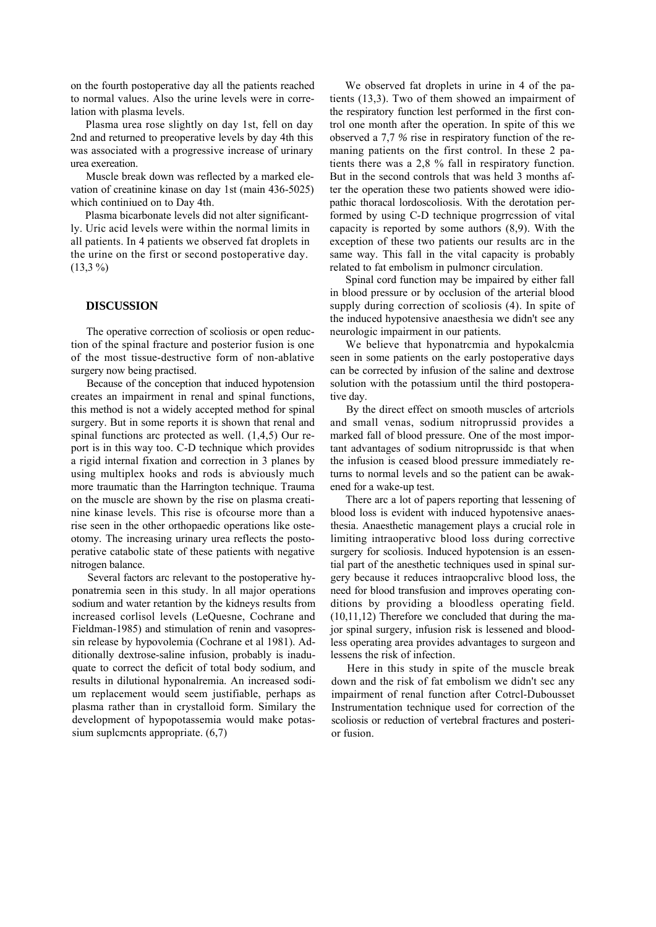on the fourth postoperative day all the patients reached to normal values. Also the urine levels were in correlation with plasma levels.

Plasma urea rose slightly on day 1st, fell on day 2nd and returned to preoperative levels by day 4th this was associated with a progressive increase of urinary urea exereation.

Muscle break down was reflected by a marked elevation of creatinine kinase on day 1st (main 436-5025) which continiued on to Day 4th.

Plasma bicarbonate levels did not alter significantly. Uric acid levels were within the normal limits in all patients. In 4 patients we observed fat droplets in the urine on the first or second postoperative day.  $(13,3\%)$ 

### **DISCUSSION**

The operative correction of scoliosis or open reduction of the spinal fracture and posterior fusion is one of the most tissue-destructive form of non-ablative surgery now being practised.

Because of the conception that induced hypotension creates an impairment in renal and spinal functions, this method is not a widely accepted method for spinal surgery. But in some reports it is shown that renal and spinal functions arc protected as well. (1,4,5) Our report is in this way too. C-D technique which provides a rigid internal fixation and correction in 3 planes by using multiplex hooks and rods is abviously much more traumatic than the Harrington technique. Trauma on the muscle are shown by the rise on plasma creatinine kinase levels. This rise is ofcourse more than a rise seen in the other orthopaedic operations like osteotomy. The increasing urinary urea reflects the postoperative catabolic state of these patients with negative nitrogen balance.

Several factors arc relevant to the postoperative hyponatremia seen in this study. ln all major operations sodium and water retantion by the kidneys results from increased corlisol levels (LeQuesne, Cochrane and Fieldman-1985) and stimulation of renin and vasopressin release by hypovolemia (Cochrane et al 1981). Additionally dextrose-saline infusion, probably is inaduquate to correct the deficit of total body sodium, and results in dilutional hyponalremia. An increased sodium replacement would seem justifiable, perhaps as plasma rather than in crystalloid form. Similary the development of hypopotassemia would make potassium suplcmcnts appropriate. (6,7)

We observed fat droplets in urine in 4 of the patients (13,3). Two of them showed an impairment of the respiratory function lest performed in the first control one month after the operation. In spite of this we observed a 7,7 *%* rise in respiratory function of the remaning patients on the first control. In these 2 patients there was a 2,8 % fall in respiratory function. But in the second controls that was held 3 months after the operation these two patients showed were idiopathic thoracal lordoscoliosis. With the derotation performed by using C-D technique progrrcssion of vital capacity is reported by some authors (8,9). With the exception of these two patients our results arc in the same way. This fall in the vital capacity is probably related to fat embolism in pulmoncr circulation.

Spinal cord function may be impaired by either fall in blood pressure or by occlusion of the arterial blood supply during correction of scoliosis (4). In spite of the induced hypotensive anaesthesia we didn't see any neurologic impairment in our patients.

We believe that hyponatrcmia and hypokalcmia seen in some patients on the early postoperative days can be corrected by infusion of the saline and dextrose solution with the potassium until the third postoperative day.

By the direct effect on smooth muscles of artcriols and small venas, sodium nitroprussid provides a marked fall of blood pressure. One of the most important advantages of sodium nitroprussidc is that when the infusion is ceased blood pressure immediately returns to normal levels and so the patient can be awakened for a wake-up test.

There arc a lot of papers reporting that lessening of blood loss is evident with induced hypotensive anaesthesia. Anaesthetic management plays a crucial role in limiting intraoperativc blood loss during corrective surgery for scoliosis. Induced hypotension is an essential part of the anesthetic techniques used in spinal surgery because it reduces intraopcralivc blood loss, the need for blood transfusion and improves operating conditions by providing a bloodless operating field. (10,11,12) Therefore we concluded that during the major spinal surgery, infusion risk is lessened and bloodless operating area provides advantages to surgeon and lessens the risk of infection.

Here in this study in spite of the muscle break down and the risk of fat embolism we didn't sec any impairment of renal function after Cotrcl-Dubousset Instrumentation technique used for correction of the scoliosis or reduction of vertebral fractures and posterior fusion.